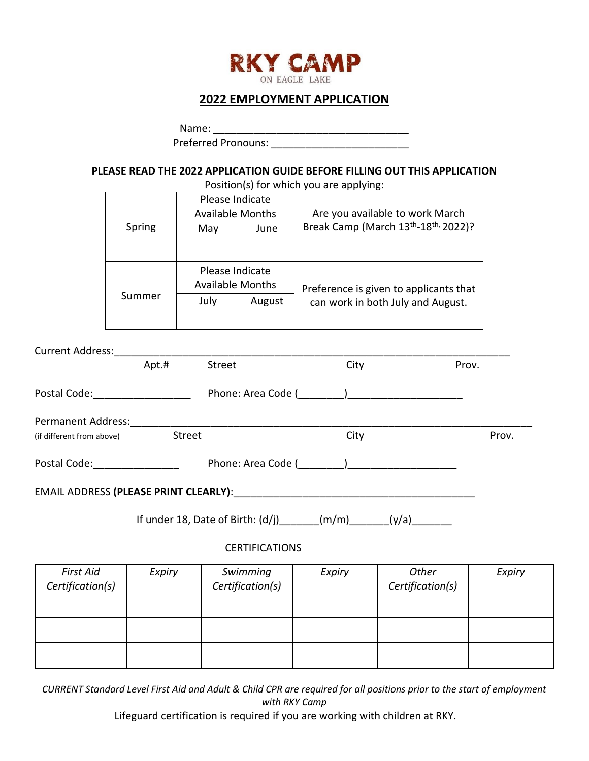

## **2022 EMPLOYMENT APPLICATION**

|                                      |        |                                            |                              |                                                                    | PLEASE READ THE 2022 APPLICATION GUIDE BEFORE FILLING OUT THIS APPLICATION<br>Position(s) for which you are applying: |        |
|--------------------------------------|--------|--------------------------------------------|------------------------------|--------------------------------------------------------------------|-----------------------------------------------------------------------------------------------------------------------|--------|
|                                      |        | Please Indicate                            |                              | Available Months   Are you available to work March                 |                                                                                                                       |        |
|                                      | Spring | May                                        | June                         | Break Camp (March 13 <sup>th</sup> -18 <sup>th,</sup> 2022)?       |                                                                                                                       |        |
|                                      |        | Please Indicate<br><b>Available Months</b> |                              | Preference is given to applicants that                             |                                                                                                                       |        |
|                                      | Summer |                                            | July   August                | can work in both July and August.                                  |                                                                                                                       |        |
|                                      |        |                                            |                              |                                                                    |                                                                                                                       |        |
|                                      | Apt.#  | Street                                     |                              | City                                                               | Prov.                                                                                                                 |        |
|                                      |        |                                            |                              |                                                                    |                                                                                                                       |        |
| (if different from above)            |        | Street                                     |                              | City                                                               |                                                                                                                       | Prov.  |
|                                      |        |                                            |                              |                                                                    |                                                                                                                       |        |
|                                      |        |                                            |                              |                                                                    |                                                                                                                       |        |
|                                      |        |                                            |                              | If under 18, Date of Birth: $(d/j)$ ______(m/m) ______(y/a) ______ |                                                                                                                       |        |
|                                      |        |                                            | <b>CERTIFICATIONS</b>        |                                                                    |                                                                                                                       |        |
| <b>First Aid</b><br>Certification(s) | Expiry |                                            | Swimming<br>Certification(s) | Expiry                                                             | Other<br>Certification(s)                                                                                             | Expiry |
|                                      |        |                                            |                              |                                                                    |                                                                                                                       |        |
|                                      |        |                                            |                              |                                                                    |                                                                                                                       |        |

*CURRENT Standard Level First Aid and Adult & Child CPR are required for all positions prior to the start of employment with RKY Camp*

Lifeguard certification is required if you are working with children at RKY.